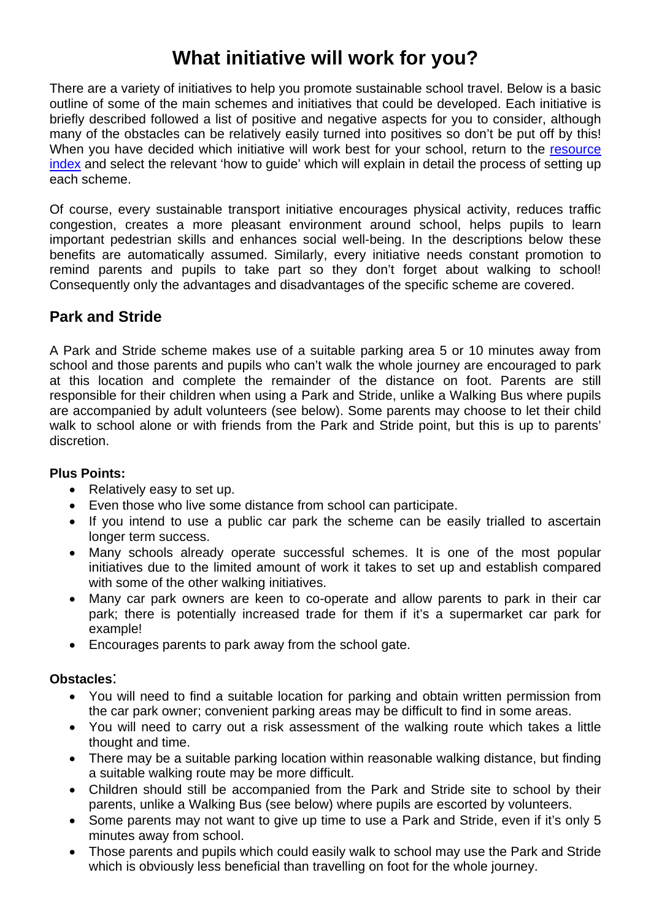# **What initiative will work for you?**

There are a variety of initiatives to help you promote sustainable school travel. Below is a basic outline of some of the main schemes and initiatives that could be developed. Each initiative is briefly described followed a list of positive and negative aspects for you to consider, although many of the obstacles can be relatively easily turned into positives so don't be put off by this! When you have decided which initiative will work best for your school, return to the resource [index](http://www.durham.gov.uk/Pages/Service.aspx?ServiceId=7902) and select the relevant 'how to guide' which will explain in detail the process of setting up each scheme.

Of course, every sustainable transport initiative encourages physical activity, reduces traffic congestion, creates a more pleasant environment around school, helps pupils to learn important pedestrian skills and enhances social well-being. In the descriptions below these benefits are automatically assumed. Similarly, every initiative needs constant promotion to remind parents and pupils to take part so they don't forget about walking to school! Consequently only the advantages and disadvantages of the specific scheme are covered.

### **Park and Stride**

A Park and Stride scheme makes use of a suitable parking area 5 or 10 minutes away from school and those parents and pupils who can't walk the whole journey are encouraged to park at this location and complete the remainder of the distance on foot. Parents are still responsible for their children when using a Park and Stride, unlike a Walking Bus where pupils are accompanied by adult volunteers (see below). Some parents may choose to let their child walk to school alone or with friends from the Park and Stride point, but this is up to parents' discretion.

### **Plus Points:**

- Relatively easy to set up.
- Even those who live some distance from school can participate.
- If you intend to use a public car park the scheme can be easily trialled to ascertain longer term success.
- Many schools already operate successful schemes. It is one of the most popular initiatives due to the limited amount of work it takes to set up and establish compared with some of the other walking initiatives.
- Many car park owners are keen to co-operate and allow parents to park in their car park; there is potentially increased trade for them if it's a supermarket car park for example!
- Encourages parents to park away from the school gate.

- You will need to find a suitable location for parking and obtain written permission from the car park owner; convenient parking areas may be difficult to find in some areas.
- You will need to carry out a risk assessment of the walking route which takes a little thought and time.
- There may be a suitable parking location within reasonable walking distance, but finding a suitable walking route may be more difficult.
- Children should still be accompanied from the Park and Stride site to school by their parents, unlike a Walking Bus (see below) where pupils are escorted by volunteers.
- Some parents may not want to give up time to use a Park and Stride, even if it's only 5 minutes away from school.
- Those parents and pupils which could easily walk to school may use the Park and Stride which is obviously less beneficial than travelling on foot for the whole journey.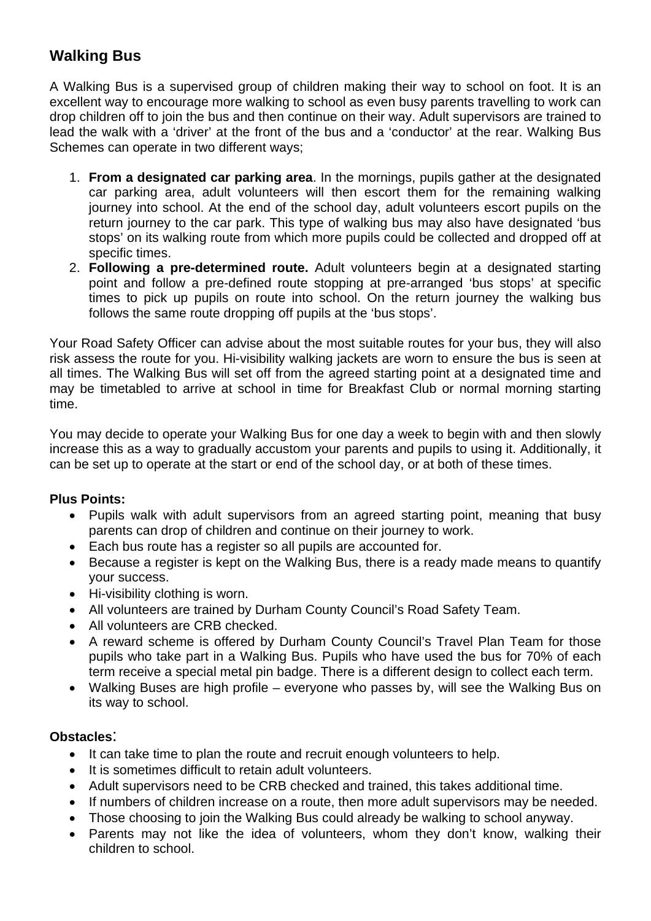# **Walking Bus**

A Walking Bus is a supervised group of children making their way to school on foot. It is an excellent way to encourage more walking to school as even busy parents travelling to work can drop children off to join the bus and then continue on their way. Adult supervisors are trained to lead the walk with a 'driver' at the front of the bus and a 'conductor' at the rear. Walking Bus Schemes can operate in two different ways;

- 1. **From a designated car parking area**. In the mornings, pupils gather at the designated car parking area, adult volunteers will then escort them for the remaining walking journey into school. At the end of the school day, adult volunteers escort pupils on the return journey to the car park. This type of walking bus may also have designated 'bus stops' on its walking route from which more pupils could be collected and dropped off at specific times.
- 2. **Following a pre-determined route.** Adult volunteers begin at a designated starting point and follow a pre-defined route stopping at pre-arranged 'bus stops' at specific times to pick up pupils on route into school. On the return journey the walking bus follows the same route dropping off pupils at the 'bus stops'.

Your Road Safety Officer can advise about the most suitable routes for your bus, they will also risk assess the route for you. Hi-visibility walking jackets are worn to ensure the bus is seen at all times. The Walking Bus will set off from the agreed starting point at a designated time and may be timetabled to arrive at school in time for Breakfast Club or normal morning starting time.

You may decide to operate your Walking Bus for one day a week to begin with and then slowly increase this as a way to gradually accustom your parents and pupils to using it. Additionally, it can be set up to operate at the start or end of the school day, or at both of these times.

### **Plus Points:**

- Pupils walk with adult supervisors from an agreed starting point, meaning that busy parents can drop of children and continue on their journey to work.
- Each bus route has a register so all pupils are accounted for.
- Because a register is kept on the Walking Bus, there is a ready made means to quantify your success.
- Hi-visibility clothing is worn.
- All volunteers are trained by Durham County Council's Road Safety Team.
- All volunteers are CRB checked.
- A reward scheme is offered by Durham County Council's Travel Plan Team for those pupils who take part in a Walking Bus. Pupils who have used the bus for 70% of each term receive a special metal pin badge. There is a different design to collect each term.
- Walking Buses are high profile everyone who passes by, will see the Walking Bus on its way to school.

- It can take time to plan the route and recruit enough volunteers to help.
- It is sometimes difficult to retain adult volunteers.
- Adult supervisors need to be CRB checked and trained, this takes additional time.
- If numbers of children increase on a route, then more adult supervisors may be needed.
- Those choosing to join the Walking Bus could already be walking to school anyway.
- Parents may not like the idea of volunteers, whom they don't know, walking their children to school.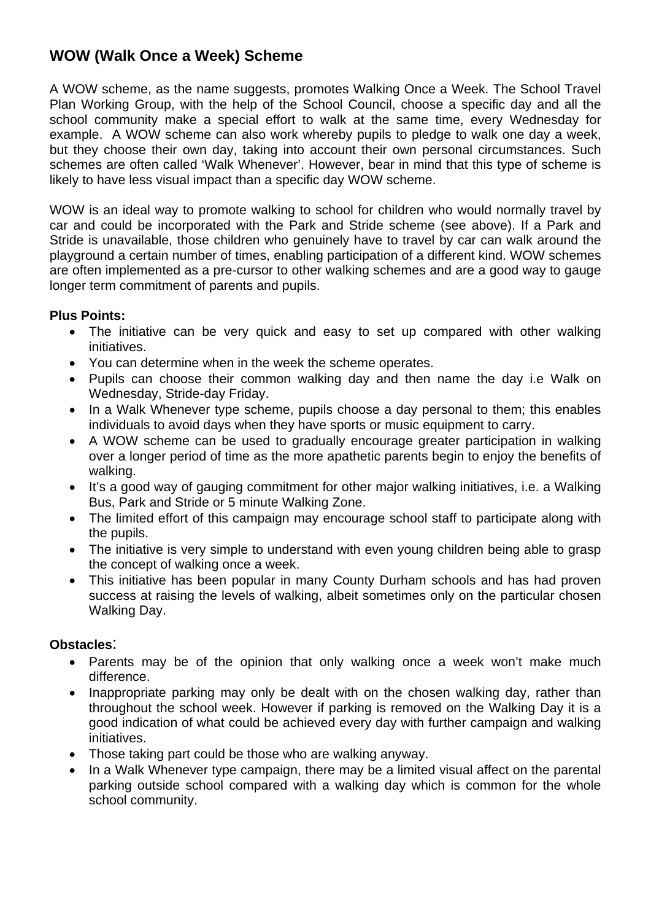### **WOW (Walk Once a Week) Scheme**

A WOW scheme, as the name suggests, promotes Walking Once a Week. The School Travel Plan Working Group, with the help of the School Council, choose a specific day and all the school community make a special effort to walk at the same time, every Wednesday for example. A WOW scheme can also work whereby pupils to pledge to walk one day a week, but they choose their own day, taking into account their own personal circumstances. Such schemes are often called 'Walk Whenever'. However, bear in mind that this type of scheme is likely to have less visual impact than a specific day WOW scheme.

WOW is an ideal way to promote walking to school for children who would normally travel by car and could be incorporated with the Park and Stride scheme (see above). If a Park and Stride is unavailable, those children who genuinely have to travel by car can walk around the playground a certain number of times, enabling participation of a different kind. WOW schemes are often implemented as a pre-cursor to other walking schemes and are a good way to gauge longer term commitment of parents and pupils.

### **Plus Points:**

- The initiative can be very quick and easy to set up compared with other walking initiatives.
- You can determine when in the week the scheme operates.
- Pupils can choose their common walking day and then name the day i.e Walk on Wednesday, Stride-day Friday.
- In a Walk Whenever type scheme, pupils choose a day personal to them; this enables individuals to avoid days when they have sports or music equipment to carry.
- A WOW scheme can be used to gradually encourage greater participation in walking over a longer period of time as the more apathetic parents begin to enjoy the benefits of walking.
- It's a good way of gauging commitment for other major walking initiatives, i.e. a Walking Bus, Park and Stride or 5 minute Walking Zone.
- The limited effort of this campaign may encourage school staff to participate along with the pupils.
- The initiative is very simple to understand with even young children being able to grasp the concept of walking once a week.
- This initiative has been popular in many County Durham schools and has had proven success at raising the levels of walking, albeit sometimes only on the particular chosen Walking Day.

- Parents may be of the opinion that only walking once a week won't make much difference.
- Inappropriate parking may only be dealt with on the chosen walking day, rather than throughout the school week. However if parking is removed on the Walking Day it is a good indication of what could be achieved every day with further campaign and walking initiatives.
- Those taking part could be those who are walking anyway.
- In a Walk Whenever type campaign, there may be a limited visual affect on the parental parking outside school compared with a walking day which is common for the whole school community.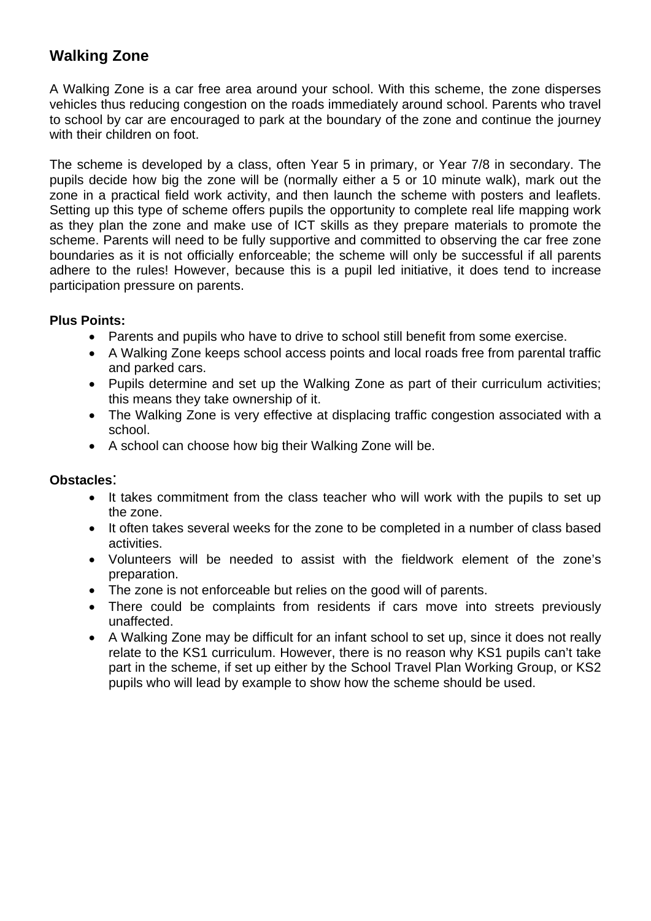# **Walking Zone**

A Walking Zone is a car free area around your school. With this scheme, the zone disperses vehicles thus reducing congestion on the roads immediately around school. Parents who travel to school by car are encouraged to park at the boundary of the zone and continue the journey with their children on foot.

The scheme is developed by a class, often Year 5 in primary, or Year 7/8 in secondary. The pupils decide how big the zone will be (normally either a 5 or 10 minute walk), mark out the zone in a practical field work activity, and then launch the scheme with posters and leaflets. Setting up this type of scheme offers pupils the opportunity to complete real life mapping work as they plan the zone and make use of ICT skills as they prepare materials to promote the scheme. Parents will need to be fully supportive and committed to observing the car free zone boundaries as it is not officially enforceable; the scheme will only be successful if all parents adhere to the rules! However, because this is a pupil led initiative, it does tend to increase participation pressure on parents.

### **Plus Points:**

- Parents and pupils who have to drive to school still benefit from some exercise.
- A Walking Zone keeps school access points and local roads free from parental traffic and parked cars.
- Pupils determine and set up the Walking Zone as part of their curriculum activities; this means they take ownership of it.
- The Walking Zone is very effective at displacing traffic congestion associated with a school.
- A school can choose how big their Walking Zone will be.

- It takes commitment from the class teacher who will work with the pupils to set up the zone.
- It often takes several weeks for the zone to be completed in a number of class based activities.
- Volunteers will be needed to assist with the fieldwork element of the zone's preparation.
- The zone is not enforceable but relies on the good will of parents.
- There could be complaints from residents if cars move into streets previously unaffected.
- A Walking Zone may be difficult for an infant school to set up, since it does not really relate to the KS1 curriculum. However, there is no reason why KS1 pupils can't take part in the scheme, if set up either by the School Travel Plan Working Group, or KS2 pupils who will lead by example to show how the scheme should be used.